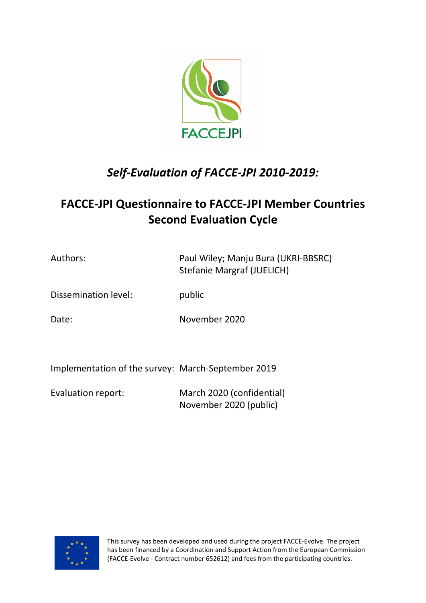

# *Self-Evaluation of FACCE-JPI 2010-2019:*

## **FACCE-JPI Questionnaire to FACCE-JPI Member Countries Second Evaluation Cycle**

Authors: Paul Wiley; Manju Bura (UKRI-BBSRC) Stefanie Margraf (JUELICH)

Dissemination level: public

Date: November 2020

Implementation of the survey: March-September 2019

Evaluation report: March 2020 (confidential) November 2020 (public)



This survey has been developed and used during the project FACCE-Evolve. The project has been financed by a Coordination and Support Action from the European Commission (FACCE-Evolve - Contract number 652612) and fees from the participating countries.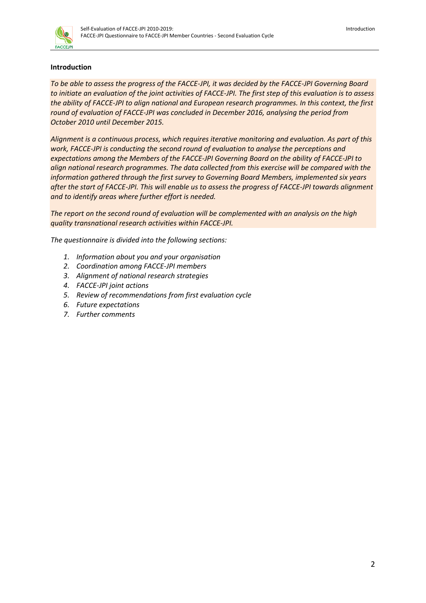

## **Introduction**

*To be able to assess the progress of the FACCE-JPI, it was decided by the FACCE-JPI Governing Board to initiate an evaluation of the joint activities of FACCE-JPI. The first step of this evaluation is to assess the ability of FACCE-JPI to align national and European research programmes. In this context, the first round of evaluation of FACCE-JPI was concluded in December 2016, analysing the period from October 2010 until December 2015.* 

*Alignment is a continuous process, which requires iterative monitoring and evaluation. As part of this work, FACCE-JPI is conducting the second round of evaluation to analyse the perceptions and expectations among the Members of the FACCE-JPI Governing Board on the ability of FACCE-JPI to align national research programmes. The data collected from this exercise will be compared with the information gathered through the first survey to Governing Board Members, implemented six years after the start of FACCE-JPI. This will enable us to assess the progress of FACCE-JPI towards alignment and to identify areas where further effort is needed.* 

*The report on the second round of evaluation will be complemented with an analysis on the high quality transnational research activities within FACCE-JPI.*

*The questionnaire is divided into the following sections:*

- *1. Information about you and your organisation*
- *2. Coordination among FACCE-JPI members*
- *3. Alignment of national research strategies*
- *4. FACCE-JPI joint actions*
- *5. Review of recommendations from first evaluation cycle*
- *6. Future expectations*
- *7. Further comments*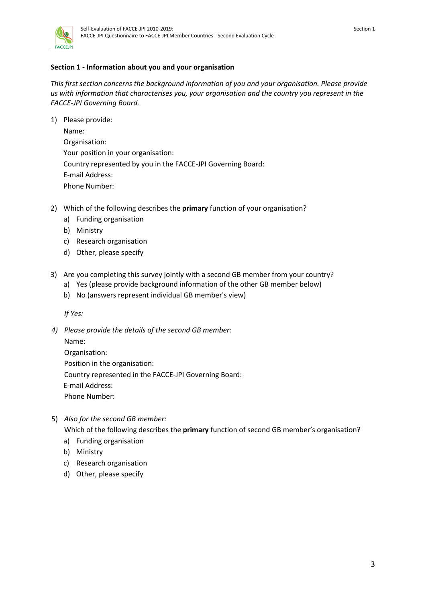

## **Section 1 - Information about you and your organisation**

*This first section concerns the background information of you and your organisation. Please provide us with information that characterises you, your organisation and the country you represent in the FACCE-JPI Governing Board.*

1) Please provide:

Name: Organisation: Your position in your organisation: Country represented by you in the FACCE-JPI Governing Board: E-mail Address: Phone Number:

- 2) Which of the following describes the **primary** function of your organisation?
	- a) Funding organisation
	- b) Ministry
	- c) Research organisation
	- d) Other, please specify
- 3) Are you completing this survey jointly with a second GB member from your country?
	- a) Yes (please provide background information of the other GB member below)
	- b) No (answers represent individual GB member's view)

*If Yes:*

*4) Please provide the details of the second GB member:*

Name: Organisation: Position in the organisation: Country represented in the FACCE-JPI Governing Board: E-mail Address: Phone Number:

5) *Also for the second GB member:*

Which of the following describes the **primary** function of second GB member's organisation?

- a) Funding organisation
- b) Ministry
- c) Research organisation
- d) Other, please specify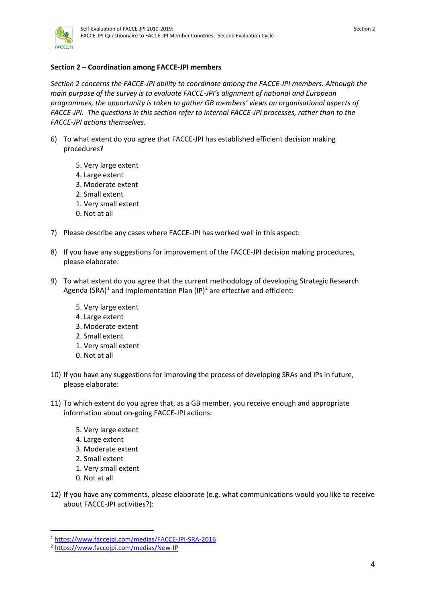

## **Section 2 – Coordination among FACCE-JPI members**

*Section 2 concerns the FACCE-JPI ability to coordinate among the FACCE-JPI members. Although the main purpose of the survey is to evaluate FACCE-JPI's alignment of national and European programmes, the opportunity is taken to gather GB members' views on organisational aspects of FACCE-JPI. The questions in this section refer to internal FACCE-JPI processes, rather than to the FACCE-JPI actions themselves.*

- 6) To what extent do you agree that FACCE-JPI has established efficient decision making procedures?
	- 5. Very large extent
	- 4. Large extent
	- 3. Moderate extent
	- 2. Small extent
	- 1. Very small extent
	- 0. Not at all
- 7) Please describe any cases where FACCE-JPI has worked well in this aspect:
- 8) If you have any suggestions for improvement of the FACCE-JPI decision making procedures, please elaborate:
- 9) To what extent do you agree that the current methodology of developing Strategic Research Agenda (SRA)<sup>[1](#page-3-0)</sup> and Implementation Plan (IP)<sup>[2](#page-3-1)</sup> are effective and efficient:
	- 5. Very large extent
	- 4. Large extent
	- 3. Moderate extent
	- 2. Small extent
	- 1. Very small extent
	- 0. Not at all
- 10) If you have any suggestions for improving the process of developing SRAs and IPs in future, please elaborate:
- 11) To which extent do you agree that, as a GB member, you receive enough and appropriate information about on-going FACCE-JPI actions:
	- 5. Very large extent
	- 4. Large extent
	- 3. Moderate extent
	- 2. Small extent
	- 1. Very small extent
	- 0. Not at all
- 12) If you have any comments, please elaborate (e.g. what communications would you like to receive about FACCE-JPI activities?):

<span id="page-3-0"></span> <sup>1</sup> <https://www.faccejpi.com/medias/FACCE-JPI-SRA-2016>

<span id="page-3-1"></span><sup>2</sup> <https://www.faccejpi.com/medias/New-IP>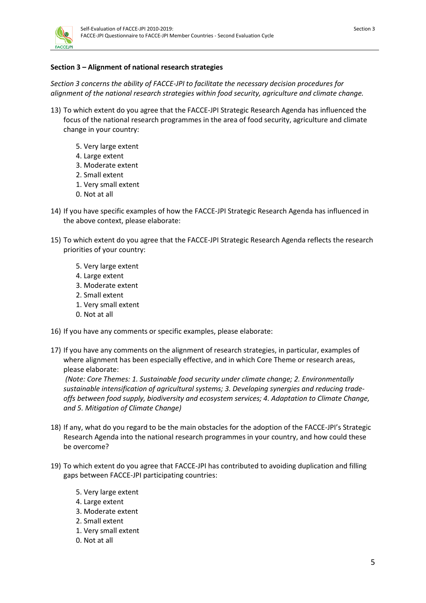

## **Section 3 – Alignment of national research strategies**

*Section 3 concerns the ability of FACCE-JPI to facilitate the necessary decision procedures for alignment of the national research strategies within food security, agriculture and climate change.* 

- 13) To which extent do you agree that the FACCE-JPI Strategic Research Agenda has influenced the focus of the national research programmes in the area of food security, agriculture and climate change in your country:
	- 5. Very large extent
	- 4. Large extent
	- 3. Moderate extent
	- 2. Small extent
	- 1. Very small extent
	- 0. Not at all
- 14) If you have specific examples of how the FACCE-JPI Strategic Research Agenda has influenced in the above context, please elaborate:
- 15) To which extent do you agree that the FACCE-JPI Strategic Research Agenda reflects the research priorities of your country:
	- 5. Very large extent
	- 4. Large extent
	- 3. Moderate extent
	- 2. Small extent
	- 1. Very small extent
	- 0. Not at all
- 16) If you have any comments or specific examples, please elaborate:
- 17) If you have any comments on the alignment of research strategies, in particular, examples of where alignment has been especially effective, and in which Core Theme or research areas, please elaborate:

*(Note: Core Themes: 1. Sustainable food security under climate change; 2. Environmentally sustainable intensification of agricultural systems; 3. Developing synergies and reducing tradeoffs between food supply, biodiversity and ecosystem services; 4. Adaptation to Climate Change, and 5. Mitigation of Climate Change)*

- 18) If any, what do you regard to be the main obstacles for the adoption of the FACCE-JPI's Strategic Research Agenda into the national research programmes in your country, and how could these be overcome?
- 19) To which extent do you agree that FACCE-JPI has contributed to avoiding duplication and filling gaps between FACCE-JPI participating countries:
	- 5. Very large extent
	- 4. Large extent
	- 3. Moderate extent
	- 2. Small extent
	- 1. Very small extent
	- 0. Not at all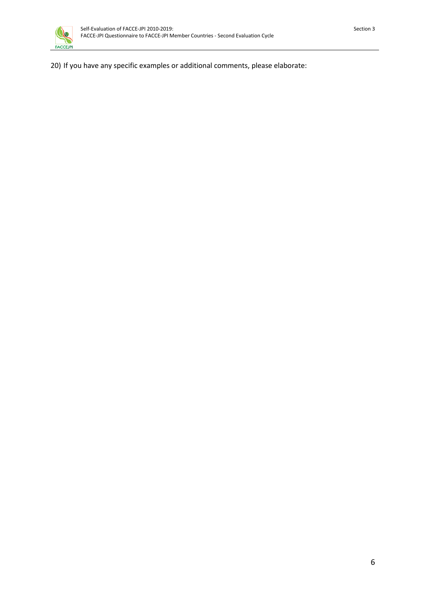20) If you have any specific examples or additional comments, please elaborate: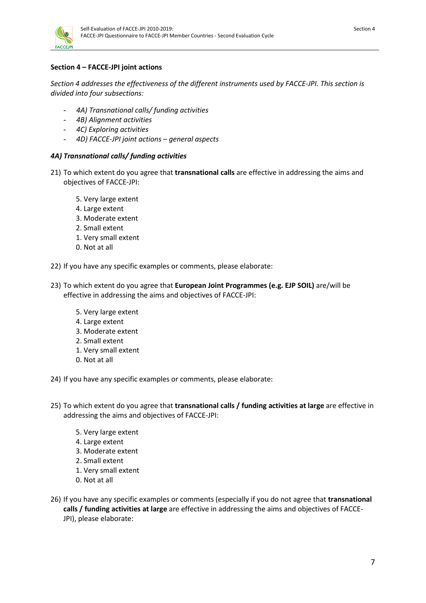

## **Section 4 – FACCE-JPI joint actions**

*Section 4 addresses the effectiveness of the different instruments used by FACCE-JPI. This section is divided into four subsections:* 

- *4A) Transnational calls/ funding activities*
- *4B) Alignment activities*
- *4C) Exploring activities*
- *4D) FACCE-JPI joint actions – general aspects*

#### *4A) Transnational calls/ funding activities*

- 21) To which extent do you agree that **transnational calls** are effective in addressing the aims and objectives of FACCE-JPI:
	- 5. Very large extent
	- 4. Large extent
	- 3. Moderate extent
	- 2. Small extent
	- 1. Very small extent
	- 0. Not at all
- 22) If you have any specific examples or comments, please elaborate:
- 23) To which extent do you agree that **European Joint Programmes (e.g. EJP SOIL)** are/will be effective in addressing the aims and objectives of FACCE-JPI:
	- 5. Very large extent
	- 4. Large extent
	- 3. Moderate extent
	- 2. Small extent
	- 1. Very small extent
	- 0. Not at all
- 24) If you have any specific examples or comments, please elaborate:
- 25) To which extent do you agree that **transnational calls / funding activities at large** are effective in addressing the aims and objectives of FACCE-JPI:
	- 5. Very large extent
	- 4. Large extent
	- 3. Moderate extent
	- 2. Small extent
	- 1. Very small extent
	- 0. Not at all
- 26) If you have any specific examples or comments (especially if you do not agree that **transnational calls / funding activities at large** are effective in addressing the aims and objectives of FACCE-JPI), please elaborate: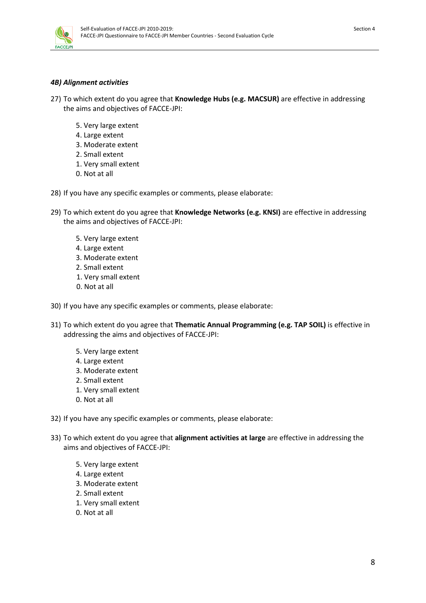

### *4B) Alignment activities*

- 27) To which extent do you agree that **Knowledge Hubs (e.g. MACSUR)** are effective in addressing the aims and objectives of FACCE-JPI:
	- 5. Very large extent
	- 4. Large extent
	- 3. Moderate extent
	- 2. Small extent
	- 1. Very small extent
	- 0. Not at all
- 28) If you have any specific examples or comments, please elaborate:
- 29) To which extent do you agree that **Knowledge Networks (e.g. KNSI)** are effective in addressing the aims and objectives of FACCE-JPI:
	- 5. Very large extent
	- 4. Large extent
	- 3. Moderate extent
	- 2. Small extent
	- 1. Very small extent
	- 0. Not at all
- 30) If you have any specific examples or comments, please elaborate:
- 31) To which extent do you agree that **Thematic Annual Programming (e.g. TAP SOIL)** is effective in addressing the aims and objectives of FACCE-JPI:
	- 5. Very large extent
	- 4. Large extent
	- 3. Moderate extent
	- 2. Small extent
	- 1. Very small extent
	- 0. Not at all
- 32) If you have any specific examples or comments, please elaborate:
- 33) To which extent do you agree that **alignment activities at large** are effective in addressing the aims and objectives of FACCE-JPI:
	- 5. Very large extent
	- 4. Large extent
	- 3. Moderate extent
	- 2. Small extent
	- 1. Very small extent
	- 0. Not at all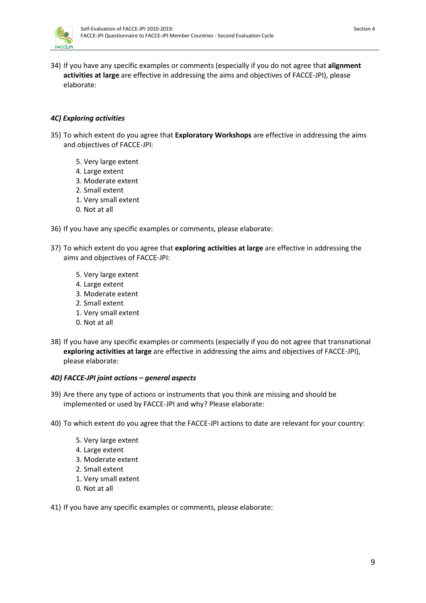

34) If you have any specific examples or comments (especially if you do not agree that **alignment activities at large** are effective in addressing the aims and objectives of FACCE-JPI), please elaborate:

### *4C) Exploring activities*

- 35) To which extent do you agree that **Exploratory Workshops** are effective in addressing the aims and objectives of FACCE-JPI:
	- 5. Very large extent
	- 4. Large extent
	- 3. Moderate extent
	- 2. Small extent
	- 1. Very small extent
	- 0. Not at all
- 36) If you have any specific examples or comments, please elaborate:
- 37) To which extent do you agree that **exploring activities at large** are effective in addressing the aims and objectives of FACCE-JPI:
	- 5. Very large extent
	- 4. Large extent
	- 3. Moderate extent
	- 2. Small extent
	- 1. Very small extent
	- 0. Not at all
- 38) If you have any specific examples or comments (especially if you do not agree that transnational **exploring activities at large** are effective in addressing the aims and objectives of FACCE-JPI), please elaborate:

#### *4D) FACCE-JPI joint actions – general aspects*

- 39) Are there any type of actions or instruments that you think are missing and should be implemented or used by FACCE-JPI and why? Please elaborate:
- 40) To which extent do you agree that the FACCE-JPI actions to date are relevant for your country:
	- 5. Very large extent
	- 4. Large extent
	- 3. Moderate extent
	- 2. Small extent
	- 1. Very small extent
	- 0. Not at all

#### 41) If you have any specific examples or comments, please elaborate: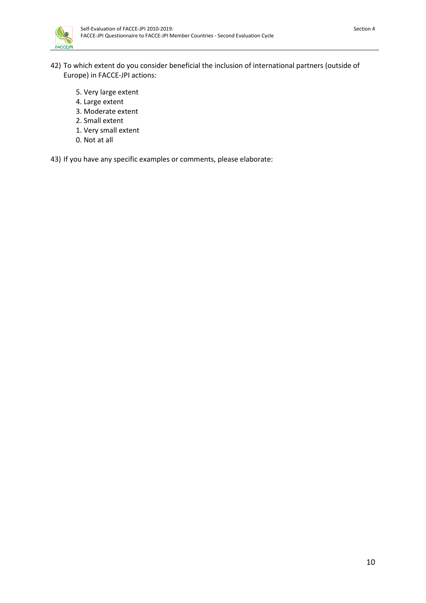

- 42) To which extent do you consider beneficial the inclusion of international partners (outside of Europe) in FACCE-JPI actions:
	- 5. Very large extent
	- 4. Large extent
	- 3. Moderate extent
	- 2. Small extent
	- 1. Very small extent
	- 0. Not at all

43) If you have any specific examples or comments, please elaborate: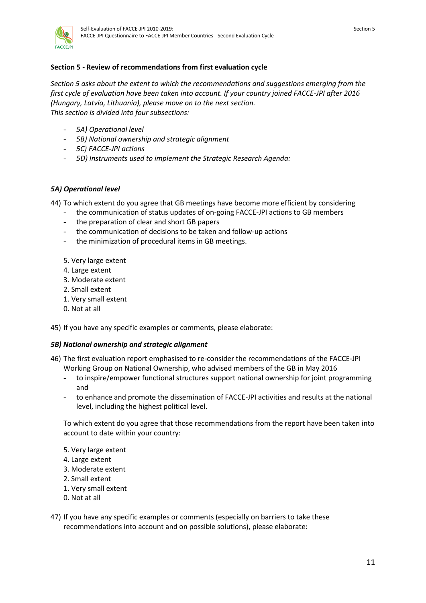

## **Section 5 - Review of recommendations from first evaluation cycle**

*Section 5 asks about the extent to which the recommendations and suggestions emerging from the first cycle of evaluation have been taken into account. If your country joined FACCE-JPI after 2016 (Hungary, Latvia, Lithuania), please move on to the next section. This section is divided into four subsections:* 

- *5A) Operational level*
- *5B) National ownership and strategic alignment*
- *5C) FACCE-JPI actions*
- *5D) Instruments used to implement the Strategic Research Agenda:*

#### *5A) Operational level*

- 44) To which extent do you agree that GB meetings have become more efficient by considering
	- the communication of status updates of on-going FACCE-JPI actions to GB members
	- the preparation of clear and short GB papers
	- the communication of decisions to be taken and follow-up actions
	- the minimization of procedural items in GB meetings.
	- 5. Very large extent
	- 4. Large extent
	- 3. Moderate extent
	- 2. Small extent
	- 1. Very small extent
	- 0. Not at all

45) If you have any specific examples or comments, please elaborate:

#### *5B) National ownership and strategic alignment*

- 46) The first evaluation report emphasised to re-consider the recommendations of the FACCE-JPI Working Group on National Ownership, who advised members of the GB in May 2016
	- to inspire/empower functional structures support national ownership for joint programming and
	- to enhance and promote the dissemination of FACCE-JPI activities and results at the national level, including the highest political level.

To which extent do you agree that those recommendations from the report have been taken into account to date within your country:

- 5. Very large extent
- 4. Large extent
- 3. Moderate extent
- 2. Small extent
- 1. Very small extent
- 0. Not at all
- 47) If you have any specific examples or comments (especially on barriers to take these recommendations into account and on possible solutions), please elaborate: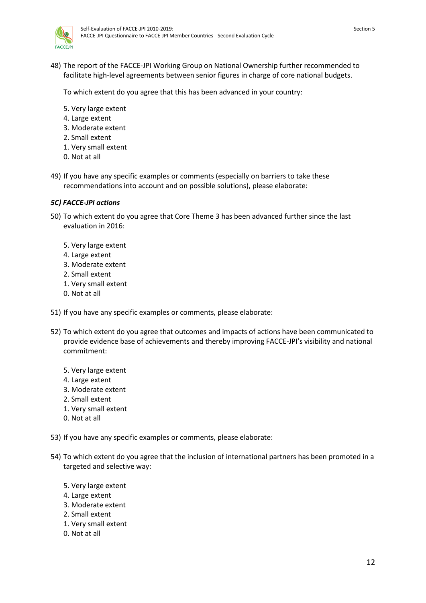

48) The report of the FACCE-JPI Working Group on National Ownership further recommended to facilitate high-level agreements between senior figures in charge of core national budgets.

To which extent do you agree that this has been advanced in your country:

- 5. Very large extent
- 4. Large extent
- 3. Moderate extent
- 2. Small extent
- 1. Very small extent
- 0. Not at all
- 49) If you have any specific examples or comments (especially on barriers to take these recommendations into account and on possible solutions), please elaborate:

#### *5C) FACCE-JPI actions*

- 50) To which extent do you agree that Core Theme 3 has been advanced further since the last evaluation in 2016:
	- 5. Very large extent
	- 4. Large extent
	- 3. Moderate extent
	- 2. Small extent
	- 1. Very small extent
	- 0. Not at all
- 51) If you have any specific examples or comments, please elaborate:
- 52) To which extent do you agree that outcomes and impacts of actions have been communicated to provide evidence base of achievements and thereby improving FACCE-JPI's visibility and national commitment:
	- 5. Very large extent
	- 4. Large extent
	- 3. Moderate extent
	- 2. Small extent
	- 1. Very small extent
	- 0. Not at all
- 53) If you have any specific examples or comments, please elaborate:
- 54) To which extent do you agree that the inclusion of international partners has been promoted in a targeted and selective way:
	- 5. Very large extent
	- 4. Large extent
	- 3. Moderate extent
	- 2. Small extent
	- 1. Very small extent
	- 0. Not at all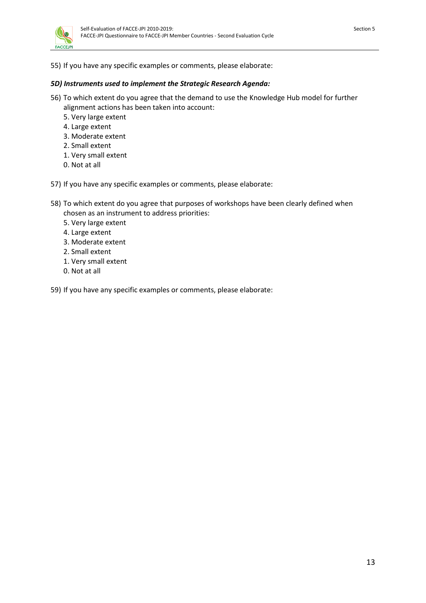55) If you have any specific examples or comments, please elaborate:

## *5D) Instruments used to implement the Strategic Research Agenda:*

- 56) To which extent do you agree that the demand to use the Knowledge Hub model for further alignment actions has been taken into account:
	- 5. Very large extent
	- 4. Large extent
	- 3. Moderate extent
	- 2. Small extent
	- 1. Very small extent
	- 0. Not at all
- 57) If you have any specific examples or comments, please elaborate:
- 58) To which extent do you agree that purposes of workshops have been clearly defined when chosen as an instrument to address priorities:
	- 5. Very large extent
	- 4. Large extent
	- 3. Moderate extent
	- 2. Small extent
	- 1. Very small extent
	- 0. Not at all
- 59) If you have any specific examples or comments, please elaborate: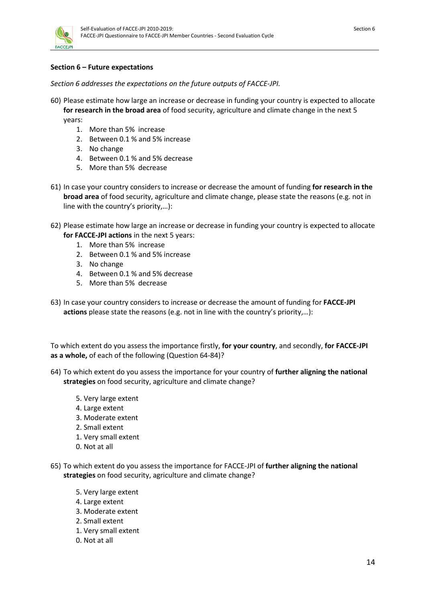

#### **Section 6 – Future expectations**

*Section 6 addresses the expectations on the future outputs of FACCE-JPI.*

- 60) Please estimate how large an increase or decrease in funding your country is expected to allocate **for research in the broad area** of food security, agriculture and climate change in the next 5 years:
	- 1. More than 5% increase
	- 2. Between 0.1 % and 5% increase
	- 3. No change
	- 4. Between 0.1 % and 5% decrease
	- 5. More than 5% decrease
- 61) In case your country considers to increase or decrease the amount of funding **for research in the broad area** of food security, agriculture and climate change, please state the reasons (e.g. not in line with the country's priority,…):
- 62) Please estimate how large an increase or decrease in funding your country is expected to allocate **for FACCE-JPI actions** in the next 5 years:
	- 1. More than 5% increase
	- 2. Between 0.1 % and 5% increase
	- 3. No change
	- 4. Between 0.1 % and 5% decrease
	- 5. More than 5% decrease
- 63) In case your country considers to increase or decrease the amount of funding for **FACCE-JPI actions** please state the reasons (e.g. not in line with the country's priority,…):

To which extent do you assess the importance firstly, **for your country**, and secondly, **for FACCE-JPI as a whole,** of each of the following (Question 64-84)?

- 64) To which extent do you assess the importance for your country of **further aligning the national strategies** on food security, agriculture and climate change?
	- 5. Very large extent
	- 4. Large extent
	- 3. Moderate extent
	- 2. Small extent
	- 1. Very small extent
	- 0. Not at all
- 65) To which extent do you assess the importance for FACCE-JPI of **further aligning the national strategies** on food security, agriculture and climate change?
	- 5. Very large extent
	- 4. Large extent
	- 3. Moderate extent
	- 2. Small extent
	- 1. Very small extent
	- 0. Not at all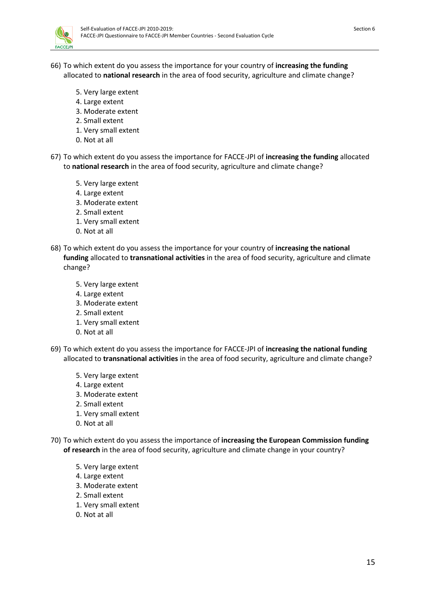

- 66) To which extent do you assess the importance for your country of **increasing the funding** allocated to **national research** in the area of food security, agriculture and climate change?
	- 5. Very large extent
	- 4. Large extent
	- 3. Moderate extent
	- 2. Small extent
	- 1. Very small extent
	- 0. Not at all
- 67) To which extent do you assess the importance for FACCE-JPI of **increasing the funding** allocated to **national research** in the area of food security, agriculture and climate change?
	- 5. Very large extent
	- 4. Large extent
	- 3. Moderate extent
	- 2. Small extent
	- 1. Very small extent
	- 0. Not at all
- 68) To which extent do you assess the importance for your country of **increasing the national funding** allocated to **transnational activities** in the area of food security, agriculture and climate change?
	- 5. Very large extent
	- 4. Large extent
	- 3. Moderate extent
	- 2. Small extent
	- 1. Very small extent
	- 0. Not at all
- 69) To which extent do you assess the importance for FACCE-JPI of **increasing the national funding** allocated to **transnational activities** in the area of food security, agriculture and climate change?
	- 5. Very large extent
	- 4. Large extent
	- 3. Moderate extent
	- 2. Small extent
	- 1. Very small extent
	- 0. Not at all
- 70) To which extent do you assess the importance of **increasing the European Commission funding of research** in the area of food security, agriculture and climate change in your country?
	- 5. Very large extent
	- 4. Large extent
	- 3. Moderate extent
	- 2. Small extent
	- 1. Very small extent
	- 0. Not at all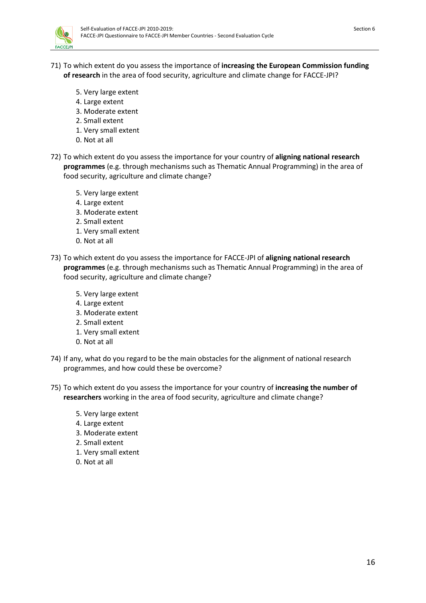

- 71) To which extent do you assess the importance of **increasing the European Commission funding of research** in the area of food security, agriculture and climate change for FACCE-JPI?
	- 5. Very large extent
	- 4. Large extent
	- 3. Moderate extent
	- 2. Small extent
	- 1. Very small extent
	- 0. Not at all
- 72) To which extent do you assess the importance for your country of **aligning national research programmes** (e.g. through mechanisms such as Thematic Annual Programming) in the area of food security, agriculture and climate change?
	- 5. Very large extent
	- 4. Large extent
	- 3. Moderate extent
	- 2. Small extent
	- 1. Very small extent
	- 0. Not at all
- 73) To which extent do you assess the importance for FACCE-JPI of **aligning national research programmes** (e.g. through mechanisms such as Thematic Annual Programming) in the area of food security, agriculture and climate change?
	- 5. Very large extent
	- 4. Large extent
	- 3. Moderate extent
	- 2. Small extent
	- 1. Very small extent
	- 0. Not at all
- 74) If any, what do you regard to be the main obstacles for the alignment of national research programmes, and how could these be overcome?
- 75) To which extent do you assess the importance for your country of **increasing the number of researchers** working in the area of food security, agriculture and climate change?
	- 5. Very large extent
	- 4. Large extent
	- 3. Moderate extent
	- 2. Small extent
	- 1. Very small extent
	- 0. Not at all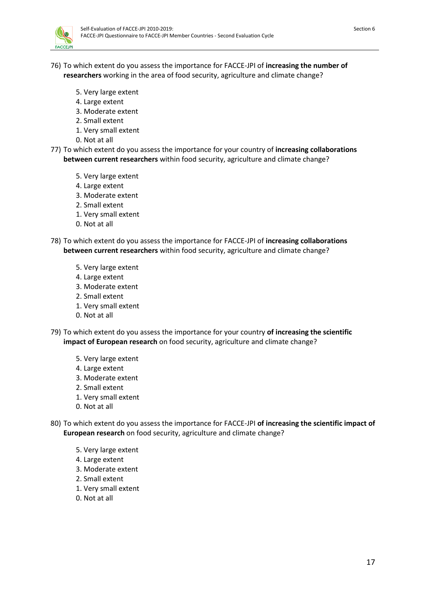

- 76) To which extent do you assess the importance for FACCE-JPI of **increasing the number of researchers** working in the area of food security, agriculture and climate change?
	- 5. Very large extent
	- 4. Large extent
	- 3. Moderate extent
	- 2. Small extent
	- 1. Very small extent
	- 0. Not at all
- 77) To which extent do you assess the importance for your country of **increasing collaborations between current researchers** within food security, agriculture and climate change?
	- 5. Very large extent
	- 4. Large extent
	- 3. Moderate extent
	- 2. Small extent
	- 1. Very small extent
	- 0. Not at all
- 78) To which extent do you assess the importance for FACCE-JPI of **increasing collaborations between current researchers** within food security, agriculture and climate change?
	- 5. Very large extent
	- 4. Large extent
	- 3. Moderate extent
	- 2. Small extent
	- 1. Very small extent
	- 0. Not at all
- 79) To which extent do you assess the importance for your country **of increasing the scientific impact of European research** on food security, agriculture and climate change?
	- 5. Very large extent
	- 4. Large extent
	- 3. Moderate extent
	- 2. Small extent
	- 1. Very small extent
	- 0. Not at all
- 80) To which extent do you assess the importance for FACCE-JPI **of increasing the scientific impact of European research** on food security, agriculture and climate change?
	- 5. Very large extent
	- 4. Large extent
	- 3. Moderate extent
	- 2. Small extent
	- 1. Very small extent
	- 0. Not at all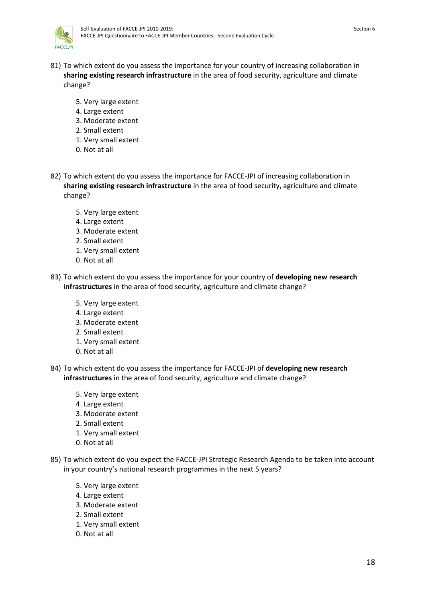- 81) To which extent do you assess the importance for your country of increasing collaboration in **sharing existing research infrastructure** in the area of food security, agriculture and climate change?
	- 5. Very large extent
	- 4. Large extent
	- 3. Moderate extent
	- 2. Small extent
	- 1. Very small extent
	- 0. Not at all
- 82) To which extent do you assess the importance for FACCE-JPI of increasing collaboration in **sharing existing research infrastructure** in the area of food security, agriculture and climate change?
	- 5. Very large extent
	- 4. Large extent
	- 3. Moderate extent
	- 2. Small extent
	- 1. Very small extent
	- 0. Not at all
- 83) To which extent do you assess the importance for your country of **developing new research infrastructures** in the area of food security, agriculture and climate change?
	- 5. Very large extent
	- 4. Large extent
	- 3. Moderate extent
	- 2. Small extent
	- 1. Very small extent
	- 0. Not at all
- 84) To which extent do you assess the importance for FACCE-JPI of **developing new research infrastructures** in the area of food security, agriculture and climate change?
	- 5. Very large extent
	- 4. Large extent
	- 3. Moderate extent
	- 2. Small extent
	- 1. Very small extent
	- 0. Not at all
- 85) To which extent do you expect the FACCE-JPI Strategic Research Agenda to be taken into account in your country's national research programmes in the next 5 years?
	- 5. Very large extent
	- 4. Large extent
	- 3. Moderate extent
	- 2. Small extent
	- 1. Very small extent
	- 0. Not at all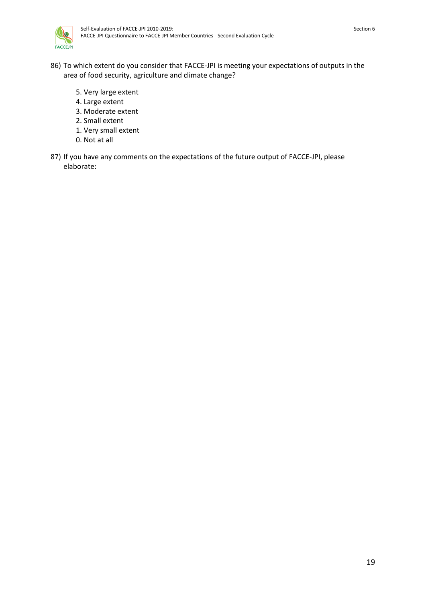

- 86) To which extent do you consider that FACCE-JPI is meeting your expectations of outputs in the area of food security, agriculture and climate change?
	- 5. Very large extent
	- 4. Large extent
	- 3. Moderate extent
	- 2. Small extent
	- 1. Very small extent
	- 0. Not at all
- 87) If you have any comments on the expectations of the future output of FACCE-JPI, please elaborate: